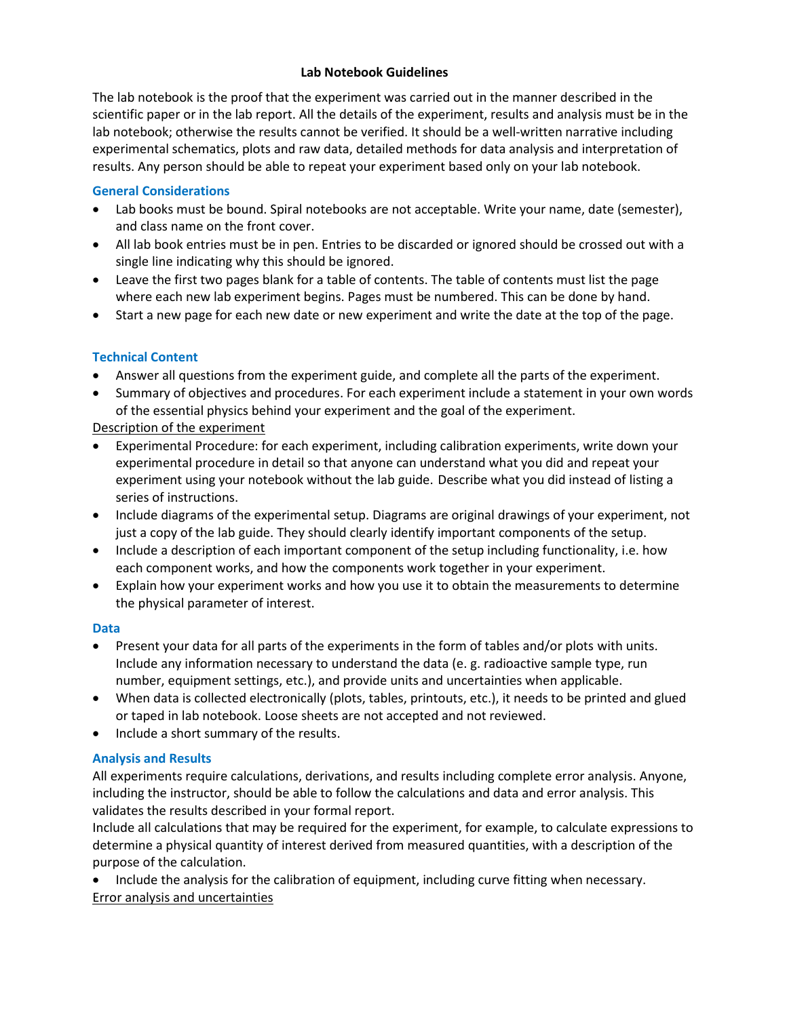### **Lab Notebook Guidelines**

The lab notebook is the proof that the experiment was carried out in the manner described in the scientific paper or in the lab report. All the details of the experiment, results and analysis must be in the lab notebook; otherwise the results cannot be verified. It should be a well-written narrative including experimental schematics, plots and raw data, detailed methods for data analysis and interpretation of results. Any person should be able to repeat your experiment based only on your lab notebook.

### **General Considerations**

- Lab books must be bound. Spiral notebooks are not acceptable. Write your name, date (semester), and class name on the front cover.
- All lab book entries must be in pen. Entries to be discarded or ignored should be crossed out with a single line indicating why this should be ignored.
- Leave the first two pages blank for a table of contents. The table of contents must list the page where each new lab experiment begins. Pages must be numbered. This can be done by hand.
- Start a new page for each new date or new experiment and write the date at the top of the page.

# **Technical Content**

- Answer all questions from the experiment guide, and complete all the parts of the experiment.
- Summary of objectives and procedures. For each experiment include a statement in your own words of the essential physics behind your experiment and the goal of the experiment.

Description of the experiment

- Experimental Procedure: for each experiment, including calibration experiments, write down your experimental procedure in detail so that anyone can understand what you did and repeat your experiment using your notebook without the lab guide. Describe what you did instead of listing a series of instructions.
- Include diagrams of the experimental setup. Diagrams are original drawings of your experiment, not just a copy of the lab guide. They should clearly identify important components of the setup.
- Include a description of each important component of the setup including functionality, i.e. how each component works, and how the components work together in your experiment.
- Explain how your experiment works and how you use it to obtain the measurements to determine the physical parameter of interest.

# **Data**

- Present your data for all parts of the experiments in the form of tables and/or plots with units. Include any information necessary to understand the data (e. g. radioactive sample type, run number, equipment settings, etc.), and provide units and uncertainties when applicable.
- When data is collected electronically (plots, tables, printouts, etc.), it needs to be printed and glued or taped in lab notebook. Loose sheets are not accepted and not reviewed.
- Include a short summary of the results.

# **Analysis and Results**

All experiments require calculations, derivations, and results including complete error analysis. Anyone, including the instructor, should be able to follow the calculations and data and error analysis. This validates the results described in your formal report.

Include all calculations that may be required for the experiment, for example, to calculate expressions to determine a physical quantity of interest derived from measured quantities, with a description of the purpose of the calculation.

• Include the analysis for the calibration of equipment, including curve fitting when necessary. Error analysis and uncertainties